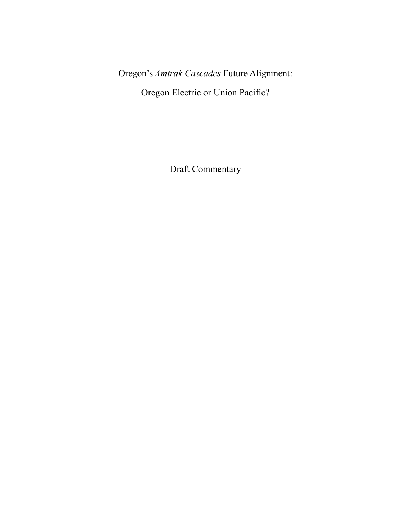Oregon's *Amtrak Cascades* Future Alignment:

Oregon Electric or Union Pacific?

Draft Commentary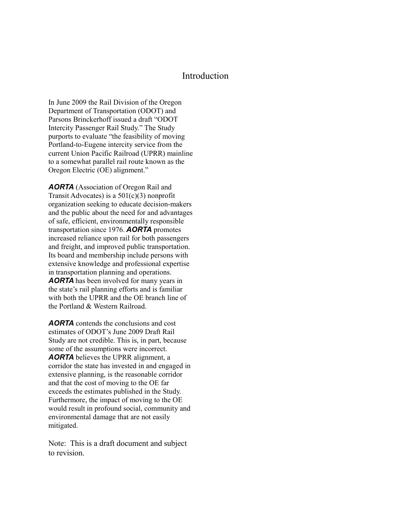#### Introduction

In June 2009 the Rail Division of the Oregon Department of Transportation (ODOT) and Parsons Brinckerhoff issued a draft "ODOT Intercity Passenger Rail Study." The Study purports to evaluate "the feasibility of moving Portland-to-Eugene intercity service from the current Union Pacific Railroad (UPRR) mainline to a somewhat parallel rail route known as the Oregon Electric (OE) alignment."

*AORTA* (Association of Oregon Rail and Transit Advocates) is a  $501(c)(3)$  nonprofit organization seeking to educate decision-makers and the public about the need for and advantages of safe, efficient, environmentally responsible transportation since 1976. *AORTA* promotes increased reliance upon rail for both passengers and freight, and improved public transportation. Its board and membership include persons with extensive knowledge and professional expertise in transportation planning and operations. *AORTA* has been involved for many years in the state's rail planning efforts and is familiar with both the UPRR and the OE branch line of the Portland & Western Railroad.

*AORTA* contends the conclusions and cost estimates of ODOT's June 2009 Draft Rail Study are not credible. This is, in part, because some of the assumptions were incorrect. *AORTA* believes the UPRR alignment, a corridor the state has invested in and engaged in extensive planning, is the reasonable corridor and that the cost of moving to the OE far exceeds the estimates published in the Study. Furthermore, the impact of moving to the OE would result in profound social, community and environmental damage that are not easily mitigated.

Note: This is a draft document and subject to revision.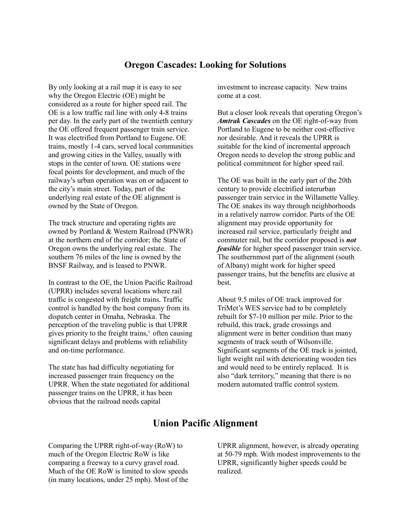## **Oregon Cascades: Looking for Solutions**

By only looking at a rail map it is easy to see why the Oregon Electric (OE) might be considered as a route for higher speed rail. The OE is a low traffic rail line with only 4-8 trains per day. In the early part of the twentieth century the OE offered frequent passenger train service. It was electrified from Portland to Eugene. OE trains, mostly 1-4 cars, served local communities and growing cities in the Valley, usually with stops in the center of town. OE stations were focal points for development, and much of the railway's urban operation was on or adjacent to the city's main street. Today, part of the underlying real estate of the OE alignment is owned by the State of Oregon.

The track structure and operating rights are owned by Portland & Western Railroad (PNWR) at the northern end of the corridor; the State of Oregon owns the underlying real estate. The southern 76 miles of the line is owned by the BNSF Railway, and is leased to PNWR.

In contrast to the OE, the Union Pacific Railroad (UPRR) includes several locations where rail traffic is congested with freight trains. Traffic control is handled by the host company from its dispatch center in Omaha, Nebraska. The perception of the traveling public is that UPRR gives priority to the freight trains,<sup>1</sup> often causing significant delays and problems with reliability and on-time performance.

The state has had difficulty negotiating for increased passenger train frequency on the UPRR. When the state negotiated for additional passenger trains on the UPRR, it has been obvious that the railroad needs capital

investment to increase capacity. New trains come at a cost.

But a closer look reveals that operating Oregon's *Amtrak Cascades* on the OE right-of-way from Portland to Eugene to be neither cost-effective nor desirable. And it reveals the UPRR is suitable for the kind of incremental approach Oregon needs to develop the strong public and political commitment for higher speed rail.

The OE was built in the early part of the 20th century to provide electrified interurban passenger train service in the Willamette Valley. The OE snakes its way through neighborhoods in a relatively narrow corridor. Parts of the OE alignment may provide opportunity for increased rail service, particularly freight and commuter rail, but the corridor proposed is *not feasible* for higher speed passenger train service. The southernmost part of the alignment (south of Albany) might work for higher speed passenger trains, but the benefits are elusive at best.

About 9.5 miles of OE track improved for TriMet's WES service had to be completely rebuilt for \$7-10 million per mile. Prior to the rebuild, this track, grade crossings and alignment were in better condition than many segments of track south of Wilsonville. Significant segments of the OE track is jointed, light weight rail with deteriorating wooden ties and would need to be entirely replaced. It is also "dark territory," meaning that there is no modern automated traffic control system.

# **Union Pacific Alignment**

Comparing the UPRR right-of-way (RoW) to much of the Oregon Electric RoW is like comparing a freeway to a curvy gravel road. Much of the OE RoW is limited to slow speeds (in many locations, under 25 mph). Most of the UPRR alignment, however, is already operating at 50-79 mph. With modest improvements to the UPRR, significantly higher speeds could be realized.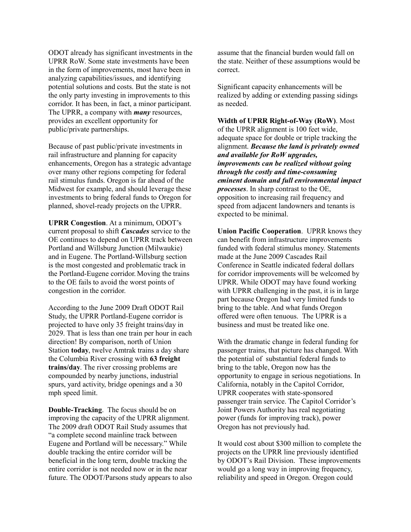ODOT already has significant investments in the UPRR RoW. Some state investments have been in the form of improvements, most have been in analyzing capabilities/issues, and identifying potential solutions and costs. But the state is not the only party investing in improvements to this corridor. It has been, in fact, a minor participant. The UPRR, a company with *many* resources, provides an excellent opportunity for public/private partnerships.

Because of past public/private investments in rail infrastructure and planning for capacity enhancements, Oregon has a strategic advantage over many other regions competing for federal rail stimulus funds. Oregon is far ahead of the Midwest for example, and should leverage these investments to bring federal funds to Oregon for planned, shovel-ready projects on the UPRR.

**UPRR Congestion**. At a minimum, ODOT's current proposal to shift *Cascades* service to the OE continues to depend on UPRR track between Portland and Willsburg Junction (Milwaukie) and in Eugene. The Portland-Willsburg section is the most congested and problematic track in the Portland-Eugene corridor. Moving the trains to the OE fails to avoid the worst points of congestion in the corridor.

According to the June 2009 Draft ODOT Rail Study, the UPRR Portland-Eugene corridor is projected to have only 35 freight trains/day in 2029. That is less than one train per hour in each direction! By comparison, north of Union Station **today**, twelve Amtrak trains a day share the Columbia River crossing with **63 freight trains/day**. The river crossing problems are compounded by nearby junctions, industrial spurs, yard activity, bridge openings and a 30 mph speed limit.

**Double-Tracking**. The focus should be on improving the capacity of the UPRR alignment. The 2009 draft ODOT Rail Study assumes that "a complete second mainline track between Eugene and Portland will be necessary." While double tracking the entire corridor will be beneficial in the long term, double tracking the entire corridor is not needed now or in the near future. The ODOT/Parsons study appears to also assume that the financial burden would fall on the state. Neither of these assumptions would be correct.

Significant capacity enhancements will be realized by adding or extending passing sidings as needed.

**Width of UPRR Right-of-Way (RoW)**. Most of the UPRR alignment is 100 feet wide, adequate space for double or triple tracking the alignment. *Because the land is privately owned and available for RoW upgrades, improvements can be realized without going through the costly and time-consuming eminent domain and full environmental impact processes*. In sharp contrast to the OE, opposition to increasing rail frequency and speed from adjacent landowners and tenants is expected to be minimal.

**Union Pacific Cooperation**. UPRR knows they can benefit from infrastructure improvements funded with federal stimulus money. Statements made at the June 2009 Cascades Rail Conference in Seattle indicated federal dollars for corridor improvements will be welcomed by UPRR. While ODOT may have found working with UPRR challenging in the past, it is in large part because Oregon had very limited funds to bring to the table. And what funds Oregon offered were often tenuous. The UPRR is a business and must be treated like one.

With the dramatic change in federal funding for passenger trains, that picture has changed. With the potential of substantial federal funds to bring to the table, Oregon now has the opportunity to engage in serious negotiations. In California, notably in the Capitol Corridor, UPRR cooperates with state-sponsored passenger train service. The Capitol Corridor's Joint Powers Authority has real negotiating power (funds for improving track), power Oregon has not previously had.

It would cost about \$300 million to complete the projects on the UPRR line previously identified by ODOT's Rail Division. These improvements would go a long way in improving frequency, reliability and speed in Oregon. Oregon could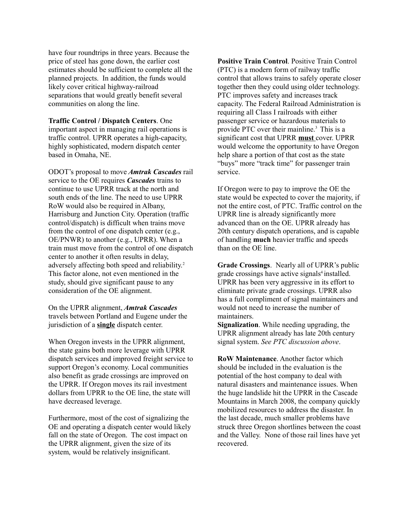have four roundtrips in three years. Because the price of steel has gone down, the earlier cost estimates should be sufficient to complete all the planned projects. In addition, the funds would likely cover critical highway-railroad separations that would greatly benefit several communities on along the line.

**Traffic Control / Dispatch Centers**. One important aspect in managing rail operations is traffic control. UPRR operates a high-capacity, highly sophisticated, modern dispatch center based in Omaha, NE.

ODOT's proposal to move *Amtrak Cascades* rail service to the OE requires *Cascades* trains to continue to use UPRR track at the north and south ends of the line. The need to use UPRR RoW would also be required in Albany, Harrisburg and Junction City. Operation (traffic control/dispatch) is difficult when trains move from the control of one dispatch center (e.g., OE/PNWR) to another (e.g., UPRR). When a train must move from the control of one dispatch center to another it often results in delay, adversely affecting both speed and reliability.<sup>2</sup> This factor alone, not even mentioned in the study, should give significant pause to any consideration of the OE alignment.

On the UPRR alignment, *Amtrak Cascades* travels between Portland and Eugene under the jurisdiction of a **single** dispatch center.

When Oregon invests in the UPRR alignment, the state gains both more leverage with UPRR dispatch services and improved freight service to support Oregon's economy. Local communities also benefit as grade crossings are improved on the UPRR. If Oregon moves its rail investment dollars from UPRR to the OE line, the state will have decreased leverage.

Furthermore, most of the cost of signalizing the OE and operating a dispatch center would likely fall on the state of Oregon. The cost impact on the UPRR alignment, given the size of its system, would be relatively insignificant.

**Positive Train Control**. Positive Train Control (PTC) is a modern form of railway traffic control that allows trains to safely operate closer together then they could using older technology. PTC improves safety and increases track capacity. The Federal Railroad Administration is requiring all Class I railroads with either passenger service or hazardous materials to provide PTC over their mainline.<sup>3</sup> This is a significant cost that UPRR **must** cover. UPRR would welcome the opportunity to have Oregon help share a portion of that cost as the state "buys" more "track time" for passenger train service.

If Oregon were to pay to improve the OE the state would be expected to cover the majority, if not the entire cost, of PTC. Traffic control on the UPRR line is already significantly more advanced than on the OE. UPRR already has 20th century dispatch operations, and is capable of handling **much** heavier traffic and speeds than on the OE line.

**Grade Crossings**. Nearly all of UPRR's public grade crossings have active signals<sup>4</sup> installed. UPRR has been very aggressive in its effort to eliminate private grade crossings. UPRR also has a full compliment of signal maintainers and would not need to increase the number of maintainers.

**Signalization**. While needing upgrading, the UPRR alignment already has late 20th century signal system. *See PTC discussion above*.

**RoW Maintenance**. Another factor which should be included in the evaluation is the potential of the host company to deal with natural disasters and maintenance issues. When the huge landslide hit the UPRR in the Cascade Mountains in March 2008, the company quickly mobilized resources to address the disaster. In the last decade, much smaller problems have struck three Oregon shortlines between the coast and the Valley. None of those rail lines have yet recovered.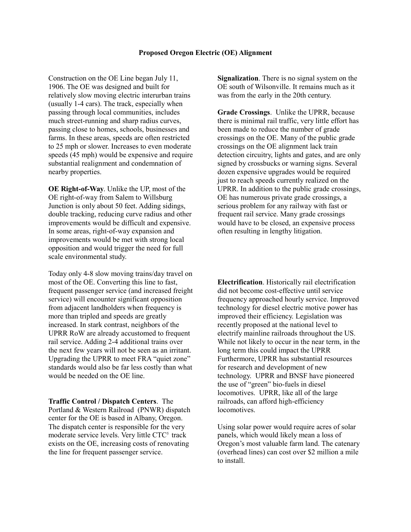Construction on the OE Line began July 11, 1906. The OE was designed and built for relatively slow moving electric interurban trains (usually 1-4 cars). The track, especially when passing through local communities, includes much street-running and sharp radius curves, passing close to homes, schools, businesses and farms. In these areas, speeds are often restricted to 25 mph or slower. Increases to even moderate speeds (45 mph) would be expensive and require substantial realignment and condemnation of nearby properties.

**OE Right-of-Way**. Unlike the UP, most of the OE right-of-way from Salem to Willsburg Junction is only about 50 feet. Adding sidings, double tracking, reducing curve radius and other improvements would be difficult and expensive. In some areas, right-of-way expansion and improvements would be met with strong local opposition and would trigger the need for full scale environmental study.

Today only 4-8 slow moving trains/day travel on most of the OE. Converting this line to fast, frequent passenger service (and increased freight service) will encounter significant opposition from adjacent landholders when frequency is more than tripled and speeds are greatly increased. In stark contrast, neighbors of the UPRR RoW are already accustomed to frequent rail service. Adding 2-4 additional trains over the next few years will not be seen as an irritant. Upgrading the UPRR to meet FRA "quiet zone" standards would also be far less costly than what would be needed on the OE line.

**Traffic Control / Dispatch Centers**. The Portland & Western Railroad (PNWR) dispatch center for the OE is based in Albany, Oregon. The dispatch center is responsible for the very moderate service levels. Very little CTC<sup>5</sup> track exists on the OE, increasing costs of renovating the line for frequent passenger service.

**Signalization**. There is no signal system on the OE south of Wilsonville. It remains much as it was from the early in the 20th century.

**Grade Crossings**. Unlike the UPRR, because there is minimal rail traffic, very little effort has been made to reduce the number of grade crossings on the OE. Many of the public grade crossings on the OE alignment lack train detection circuitry, lights and gates, and are only signed by crossbucks or warning signs. Several dozen expensive upgrades would be required just to reach speeds currently realized on the UPRR. In addition to the public grade crossings, OE has numerous private grade crossings, a serious problem for any railway with fast or frequent rail service. Many grade crossings would have to be closed, an expensive process often resulting in lengthy litigation.

**Electrification**. Historically rail electrification did not become cost-effective until service frequency approached hourly service. Improved technology for diesel electric motive power has improved their efficiency. Legislation was recently proposed at the national level to electrify mainline railroads throughout the US. While not likely to occur in the near term, in the long term this could impact the UPRR Furthermore, UPRR has substantial resources for research and development of new technology. UPRR and BNSF have pioneered the use of "green" bio-fuels in diesel locomotives. UPRR, like all of the large railroads, can afford high-efficiency locomotives.

Using solar power would require acres of solar panels, which would likely mean a loss of Oregon's most valuable farm land. The catenary (overhead lines) can cost over \$2 million a mile to install.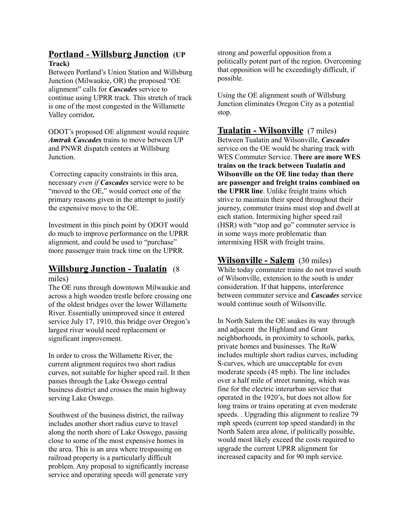#### **Portland - Willsburg Junction (UP Track)**

Between Portland's Union Station and Willsburg Junction (Milwaukie, OR) the proposed "OE alignment" calls for *Cascades* service to continue using UPRR track. This stretch of track is one of the most congested in the Willamette Valley corridor**.**

ODOT's proposed OE alignment would require *Amtrak Cascades* trains to move between UP and PNWR dispatch centers at Willsburg Junction.

 Correcting capacity constraints in this area, necessary *even if Cascades* service were to be "moved to the OE," would correct one of the primary reasons given in the attempt to justify the expensive move to the OE.

Investment in this pinch point by ODOT would do much to improve performance on the UPRR alignment, and could be used to "purchase" more passenger train track time on the UPRR.

#### **Willsburg Junction - Tualatin** (8 miles)

The OE runs through downtown Milwaukie and across a high wooden trestle before crossing one of the oldest bridges over the lower Willamette River. Essentially unimproved since it entered service July 17, 1910, this bridge over Oregon's largest river would need replacement or significant improvement.

In order to cross the Willamette River, the current alignment requires two short radius curves, not suitable for higher speed rail. It then passes through the Lake Oswego central business district and crosses the main highway serving Lake Oswego.

Southwest of the business district, the railway includes another short radius curve to travel along the north shore of Lake Oswego, passing close to some of the most expensive homes in the area. This is an area where trespassing on railroad property is a particularly difficult problem. Any proposal to significantly increase service and operating speeds will generate very strong and powerful opposition from a politically potent part of the region. Overcoming that opposition will be exceedingly difficult, if possible.

Using the OE alignment south of Willsburg Junction eliminates Oregon City as a potential stop.

#### **Tualatin - Wilsonville** (7 miles)

Between Tualatin and Wilsonville, *Cascades* service on the OE would be sharing track with WES Commuter Service. T**here are more WES trains on the track between Tualatin and Wilsonville on the OE line today than there are passenger and freight trains combined on the UPRR line**. Unlike freight trains which strive to maintain their speed throughout their journey, commuter trains must stop and dwell at each station. Intermixing higher speed rail (HSR) with "stop and go" commuter service is in some ways more problematic than intermixing HSR with freight trains.

#### **Wilsonville - Salem** (30 miles)

While today commuter trains do not travel south of Wilsonville, extension to the south is under consideration. If that happens, interference between commuter service and *Cascades* service would continue south of Wilsonville.

In North Salem the OE snakes its way through and adjacent the Highland and Grant neighborhoods, in proximity to schools, parks, private homes and businesses. The RoW includes multiple short radius curves, including S-curves, which are unacceptable for even moderate speeds (45 mph). The line includes over a half mile of street running, which was fine for the electric interurban service that operated in the 1920's, but does not allow for long trains or trains operating at even moderate speeds. . Upgrading this alignment to realize 79 mph speeds (current top speed standard) in the North Salem area alone, if politically possible, would most likely exceed the costs required to upgrade the current UPRR alignment for increased capacity and for 90 mph service.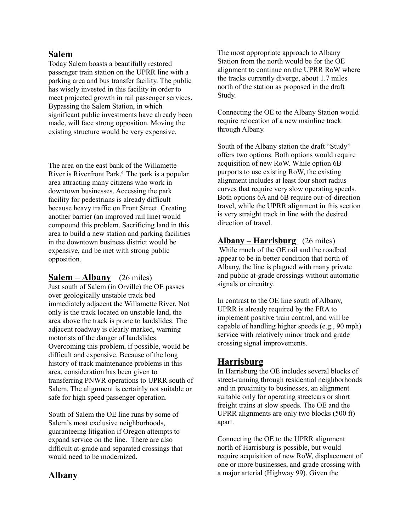### **Salem**

Today Salem boasts a beautifully restored passenger train station on the UPRR line with a parking area and bus transfer facility. The public has wisely invested in this facility in order to meet projected growth in rail passenger services. Bypassing the Salem Station, in which significant public investments have already been made, will face strong opposition. Moving the existing structure would be very expensive.

The area on the east bank of the Willamette River is Riverfront Park.<sup>6</sup> The park is a popular area attracting many citizens who work in downtown businesses. Accessing the park facility for pedestrians is already difficult because heavy traffic on Front Street. Creating another barrier (an improved rail line) would compound this problem. Sacrificing land in this area to build a new station and parking facilities in the downtown business district would be expensive, and be met with strong public opposition.

#### **Salem – Albany** (26 miles)

Just south of Salem (in Orville) the OE passes over geologically unstable track bed immediately adjacent the Willamette River. Not only is the track located on unstable land, the area above the track is prone to landslides. The adjacent roadway is clearly marked, warning motorists of the danger of landslides. Overcoming this problem, if possible, would be difficult and expensive. Because of the long history of track maintenance problems in this area, consideration has been given to transferring PNWR operations to UPRR south of Salem. The alignment is certainly not suitable or safe for high speed passenger operation.

South of Salem the OE line runs by some of Salem's most exclusive neighborhoods, guaranteeing litigation if Oregon attempts to expand service on the line. There are also difficult at-grade and separated crossings that would need to be modernized.

#### **Albany**

The most appropriate approach to Albany Station from the north would be for the OE alignment to continue on the UPRR RoW where the tracks currently diverge, about 1.7 miles north of the station as proposed in the draft Study.

Connecting the OE to the Albany Station would require relocation of a new mainline track through Albany.

South of the Albany station the draft "Study" offers two options. Both options would require acquisition of new RoW. While option 6B purports to use existing RoW, the existing alignment includes at least four short radius curves that require very slow operating speeds. Both options 6A and 6B require out-of-direction travel, while the UPRR alignment in this section is very straight track in line with the desired direction of travel.

#### **Albany – Harrisburg** (26 miles)

 While much of the OE rail and the roadbed appear to be in better condition that north of Albany, the line is plagued with many private and public at-grade crossings without automatic signals or circuitry.

In contrast to the OE line south of Albany, UPRR is already required by the FRA to implement positive train control, and will be capable of handling higher speeds (e.g., 90 mph) service with relatively minor track and grade crossing signal improvements.

## **Harrisburg**

In Harrisburg the OE includes several blocks of street-running through residential neighborhoods and in proximity to businesses, an alignment suitable only for operating streetcars or short freight trains at slow speeds. The OE and the UPRR alignments are only two blocks (500 ft) apart.

Connecting the OE to the UPRR alignment north of Harrisburg is possible, but would require acquisition of new RoW, displacement of one or more businesses, and grade crossing with a major arterial (Highway 99). Given the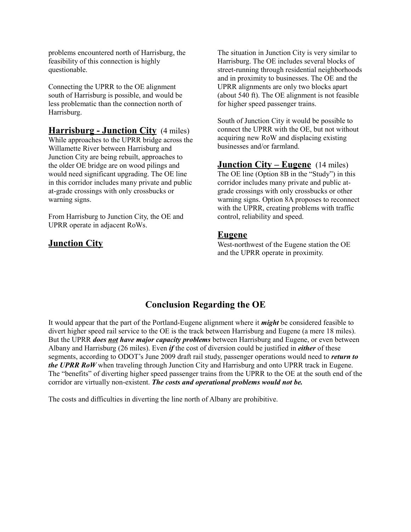problems encountered north of Harrisburg, the feasibility of this connection is highly questionable.

Connecting the UPRR to the OE alignment south of Harrisburg is possible, and would be less problematic than the connection north of Harrisburg.

**Harrisburg - Junction City** (4 miles) While approaches to the UPRR bridge across the Willamette River between Harrisburg and Junction City are being rebuilt, approaches to the older OE bridge are on wood pilings and would need significant upgrading. The OE line in this corridor includes many private and public at-grade crossings with only crossbucks or warning signs.

From Harrisburg to Junction City, the OE and UPRR operate in adjacent RoWs.

# **Junction City**

The situation in Junction City is very similar to Harrisburg. The OE includes several blocks of street-running through residential neighborhoods and in proximity to businesses. The OE and the UPRR alignments are only two blocks apart (about 540 ft). The OE alignment is not feasible for higher speed passenger trains.

South of Junction City it would be possible to connect the UPRR with the OE, but not without acquiring new RoW and displacing existing businesses and/or farmland.

**Junction City – Eugene** (14 miles) The OE line (Option 8B in the "Study") in this corridor includes many private and public atgrade crossings with only crossbucks or other warning signs. Option 8A proposes to reconnect with the UPRR, creating problems with traffic control, reliability and speed.

#### **Eugene**

West-northwest of the Eugene station the OE and the UPRR operate in proximity.

# **Conclusion Regarding the OE**

It would appear that the part of the Portland-Eugene alignment where it *might* be considered feasible to divert higher speed rail service to the OE is the track between Harrisburg and Eugene (a mere 18 miles). But the UPRR *does not have major capacity problems* between Harrisburg and Eugene, or even between Albany and Harrisburg (26 miles). Even *if* the cost of diversion could be justified in *either* of these segments, according to ODOT's June 2009 draft rail study, passenger operations would need to *return to the UPRR RoW* when traveling through Junction City and Harrisburg and onto UPRR track in Eugene. The "benefits" of diverting higher speed passenger trains from the UPRR to the OE at the south end of the corridor are virtually non-existent. *The costs and operational problems would not be.* 

The costs and difficulties in diverting the line north of Albany are prohibitive.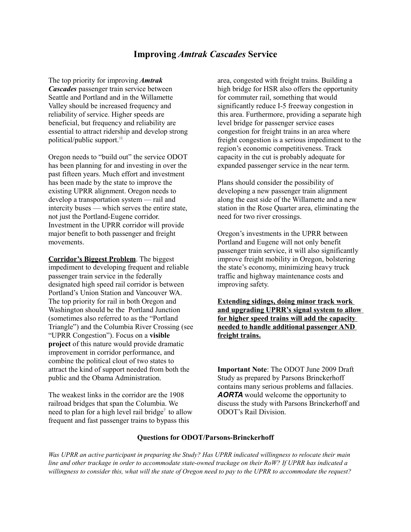### **Improving** *Amtrak Cascades* **Service**

The top priority for improving *Amtrak Cascades* passenger train service between Seattle and Portland and in the Willamette Valley should be increased frequency and reliability of service. Higher speeds are beneficial, but frequency and reliability are essential to attract ridership and develop strong political/public support.<sup>11</sup>

Oregon needs to "build out" the service ODOT has been planning for and investing in over the past fifteen years. Much effort and investment has been made by the state to improve the existing UPRR alignment. Oregon needs to develop a transportation system — rail and intercity buses — which serves the entire state, not just the Portland-Eugene corridor. Investment in the UPRR corridor will provide major benefit to both passenger and freight movements.

**Corridor's Biggest Problem**. The biggest impediment to developing frequent and reliable passenger train service in the federally designated high speed rail corridor is between Portland's Union Station and Vancouver WA. The top priority for rail in both Oregon and Washington should be the Portland Junction (sometimes also referred to as the "Portland Triangle") and the Columbia River Crossing (see "UPRR Congestion"). Focus on a **visible project** of this nature would provide dramatic improvement in corridor performance, and combine the political clout of two states to attract the kind of support needed from both the public and the Obama Administration.

The weakest links in the corridor are the 1908 railroad bridges that span the Columbia. We need to plan for a high level rail bridge<sup>7</sup> to allow frequent and fast passenger trains to bypass this

area, congested with freight trains. Building a high bridge for HSR also offers the opportunity for commuter rail, something that would significantly reduce I-5 freeway congestion in this area. Furthermore, providing a separate high level bridge for passenger service eases congestion for freight trains in an area where freight congestion is a serious impediment to the region's economic competitiveness. Track capacity in the cut is probably adequate for expanded passenger service in the near term.

Plans should consider the possibility of developing a new passenger train alignment along the east side of the Willamette and a new station in the Rose Quarter area, eliminating the need for two river crossings.

Oregon's investments in the UPRR between Portland and Eugene will not only benefit passenger train service, it will also significantly improve freight mobility in Oregon, bolstering the state's economy, minimizing heavy truck traffic and highway maintenance costs and improving safety.

**Extending sidings, doing minor track work and upgrading UPRR's signal system to allow for higher speed trains will add the capacity needed to handle additional passenger AND freight trains.**

**Important Note**: The ODOT June 2009 Draft Study as prepared by Parsons Brinckerhoff contains many serious problems and fallacies. *AORTA* would welcome the opportunity to discuss the study with Parsons Brinckerhoff and ODOT's Rail Division.

#### **Questions for ODOT/Parsons-Brinckerhoff**

*Was UPRR an active participant in preparing the Study? Has UPRR indicated willingness to relocate their main line and other trackage in order to accommodate state-owned trackage on their RoW? If UPRR has indicated a willingness to consider this, what will the state of Oregon need to pay to the UPRR to accommodate the request?*